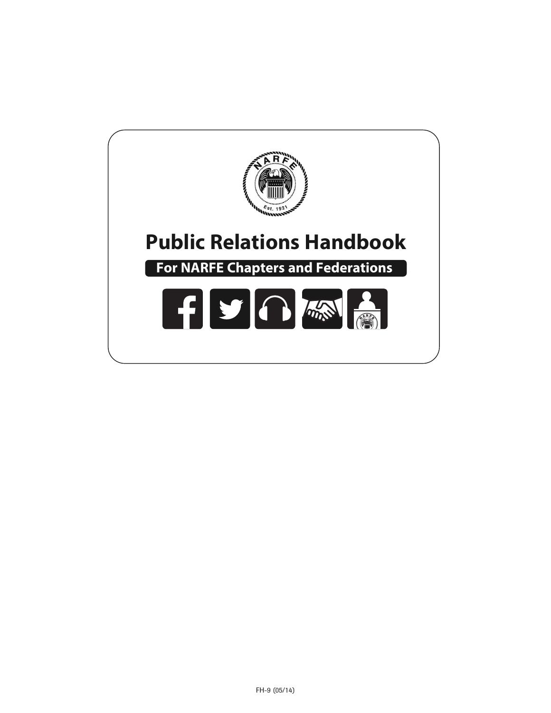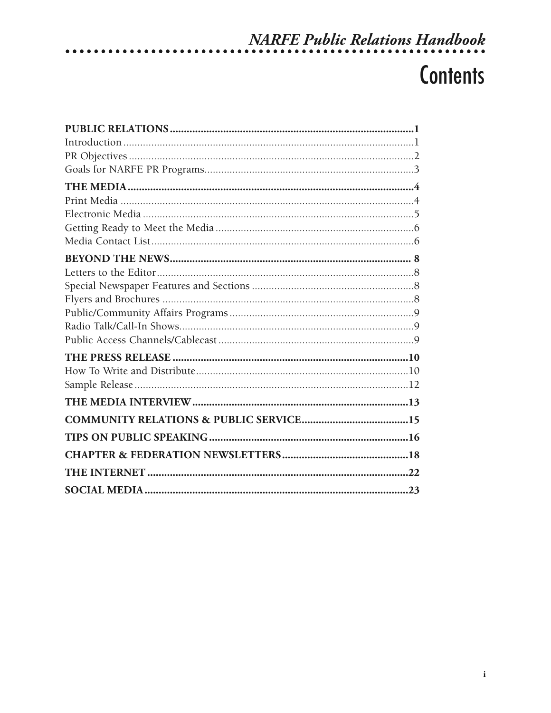# NARFE Public Relations Handbook

# **Contents**

. . . . . . . . . . . . . . . .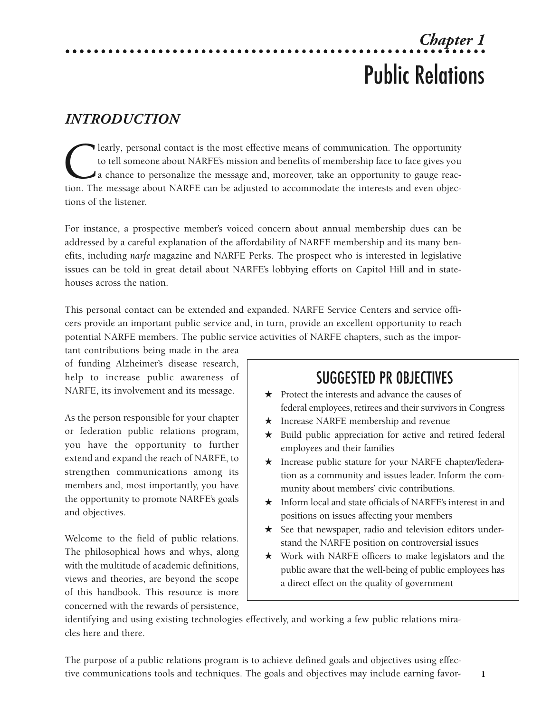# *Chapter 1* Public Relations

## *INTRODUCTION*

**COLEART CONFIDENTIFY** to tell someone about NARFE's mission and benefits of membership face to face gives you a chance to personalize the message and, moreover, take an opportunity to gauge reaction. The message about NAR to tell someone about NARFE's mission and benefits of membership face to face gives you a chance to personalize the message and, moreover, take an opportunity to gauge reaction. The message about NARFE can be adjusted to accommodate the interests and even objections of the listener.

For instance, a prospective member's voiced concern about annual membership dues can be addressed by a careful explanation of the affordability of NARFE membership and its many benefits, including *narfe* magazine and NARFE Perks. The prospect who is interested in legislative issues can be told in great detail about NARFE's lobbying efforts on Capitol Hill and in statehouses across the nation.

This personal contact can be extended and expanded. NARFE Service Centers and service officers provide an important public service and, in turn, provide an excellent opportunity to reach potential NARFE members. The public service activities of NARFE chapters, such as the impor-

tant contributions being made in the area of funding Alzheimer's disease research, help to increase public awareness of NARFE, its involvement and its message.

As the person responsible for your chapter or federation public relations program, you have the opportunity to further extend and expand the reach of NARFE, to strengthen communications among its members and, most importantly, you have the opportunity to promote NARFE's goals and objectives.

Welcome to the field of public relations. The philosophical hows and whys, along with the multitude of academic definitions, views and theories, are beyond the scope of this handbook. This resource is more concerned with the rewards of persistence,

# SUGGESTED PR 0BJECTIVES

- $\star$  Protect the interests and advance the causes of federal employees, retirees and their survivors in Congress
- $\star$  Increase NARFE membership and revenue
- $\star$  Build public appreciation for active and retired federal employees and their families
- \* Increase public stature for your NARFE chapter/federation as a community and issues leader. Inform the community about members' civic contributions.
- $\star$  Inform local and state officials of NARFE's interest in and positions on issues affecting your members
- $\star$  See that newspaper, radio and television editors understand the NARFE position on controversial issues
- $\star$  Work with NARFE officers to make legislators and the public aware that the well-being of public employees has a direct effect on the quality of government

**1**

identifying and using existing technologies effectively, and working a few public relations miracles here and there.

The purpose of a public relations program is to achieve defined goals and objectives using effective communications tools and techniques. The goals and objectives may include earning favor-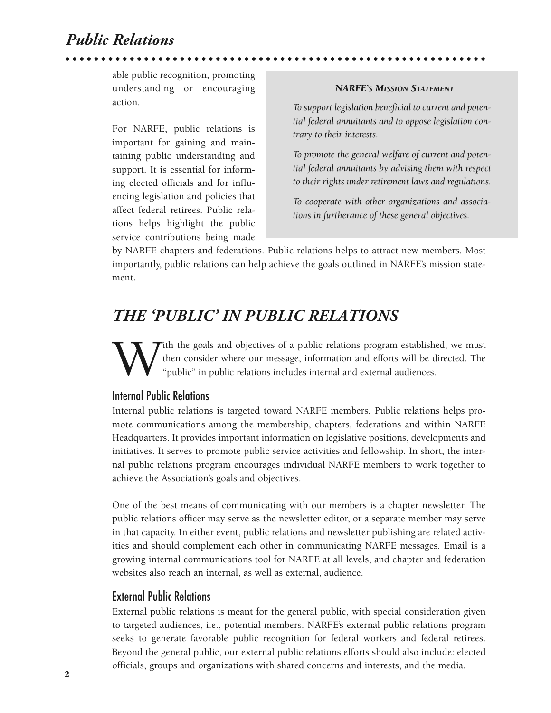## *Public Relations*

able public recognition, promoting understanding or encouraging action.

For NARFE, public relations is important for gaining and maintaining public understanding and support. It is essential for informing elected officials and for influencing legislation and policies that affect federal retirees. Public relations helps highlight the public service contributions being made

#### *NARFE'S MISSION STATEMENT*

*To support legislation beneficial to current and potential federal annuitants and to oppose legislation contrary to their interests.*

*To promote the general welfare of current and potential federal annuitants by advising them with respect to their rights under retirement laws and regulations.*

*To cooperate with other organizations and associations in furtherance of these general objectives.*

by NARFE chapters and federations. Public relations helps to attract new members. Most importantly, public relations can help achieve the goals outlined in NARFE's mission statement.

## *THE 'PUBLIC' IN PUBLIC RELATIONS*

With the goals and objectives of a public relations program established, we must then consider where our message, information and efforts will be directed. The "public" in public relations includes internal and external au then consider where our message, information and efforts will be directed. The "public" in public relations includes internal and external audiences.

#### Internal Public Relations

Internal public relations is targeted toward NARFE members. Public relations helps promote communications among the membership, chapters, federations and within NARFE Headquarters. It provides important information on legislative positions, developments and initiatives. It serves to promote public service activities and fellowship. In short, the internal public relations program encourages individual NARFE members to work together to achieve the Association's goals and objectives.

One of the best means of communicating with our members is a chapter newsletter. The public relations officer may serve as the newsletter editor, or a separate member may serve in that capacity. In either event, public relations and newsletter publishing are related activities and should complement each other in communicating NARFE messages. Email is a growing internal communications tool for NARFE at all levels, and chapter and federation websites also reach an internal, as well as external, audience.

#### External Public Relations

External public relations is meant for the general public, with special consideration given to targeted audiences, i.e., potential members. NARFE's external public relations program seeks to generate favorable public recognition for federal workers and federal retirees. Beyond the general public, our external public relations efforts should also include: elected officials, groups and organizations with shared concerns and interests, and the media.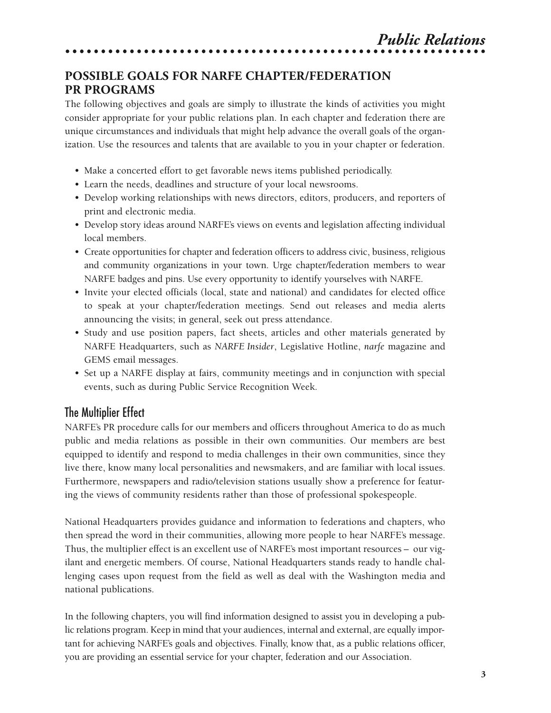### **POSSIBLE GOALS FOR NARFE CHAPTER/FEDERATION PR PROGRAMS**

The following objectives and goals are simply to illustrate the kinds of activities you might consider appropriate for your public relations plan. In each chapter and federation there are unique circumstances and individuals that might help advance the overall goals of the organization. Use the resources and talents that are available to you in your chapter or federation.

- Make a concerted effort to get favorable news items published periodically.
- Learn the needs, deadlines and structure of your local newsrooms.
- Develop working relationships with news directors, editors, producers, and reporters of print and electronic media.
- Develop story ideas around NARFE's views on events and legislation affecting individual local members.
- Create opportunities for chapter and federation officers to address civic, business, religious and community organizations in your town. Urge chapter/federation members to wear NARFE badges and pins. Use every opportunity to identify yourselves with NARFE.
- Invite your elected officials (local, state and national) and candidates for elected office to speak at your chapter/federation meetings. Send out releases and media alerts announcing the visits; in general, seek out press attendance.
- Study and use position papers, fact sheets, articles and other materials generated by NARFE Headquarters, such as *NARFE Insider*, Legislative Hotline, *narfe* magazine and GEMS email messages.
- Set up a NARFE display at fairs, community meetings and in conjunction with special events, such as during Public Service Recognition Week.

#### The Multiplier Effect

NARFE's PR procedure calls for our members and officers throughout America to do as much public and media relations as possible in their own communities. Our members are best equipped to identify and respond to media challenges in their own communities, since they live there, know many local personalities and newsmakers, and are familiar with local issues. Furthermore, newspapers and radio/television stations usually show a preference for featuring the views of community residents rather than those of professional spokespeople.

National Headquarters provides guidance and information to federations and chapters, who then spread the word in their communities, allowing more people to hear NARFE's message. Thus, the multiplier effect is an excellent use of NARFE's most important resources – our vigilant and energetic members. Of course, National Headquarters stands ready to handle challenging cases upon request from the field as well as deal with the Washington media and national publications.

In the following chapters, you will find information designed to assist you in developing a public relations program. Keep in mind that your audiences, internal and external, are equally important for achieving NARFE's goals and objectives. Finally, know that, as a public relations officer, you are providing an essential service for your chapter, federation and our Association.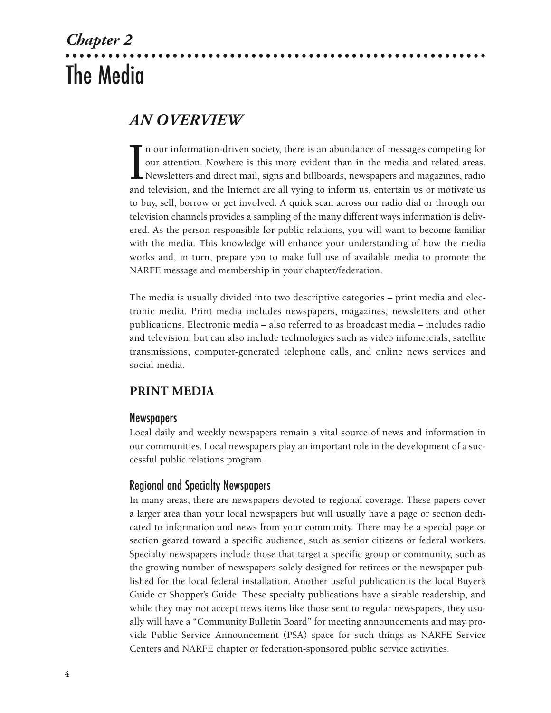# *Chapter 2* The Media

## *AN OVERVIEW*

I<br>and n our information-driven society, there is an abundance of messages competing for our attention. Nowhere is this more evident than in the media and related areas. Newsletters and direct mail, signs and billboards, newspapers and magazines, radio and television, and the Internet are all vying to inform us, entertain us or motivate us to buy, sell, borrow or get involved. A quick scan across our radio dial or through our television channels provides a sampling of the many different ways information is delivered. As the person responsible for public relations, you will want to become familiar with the media. This knowledge will enhance your understanding of how the media works and, in turn, prepare you to make full use of available media to promote the NARFE message and membership in your chapter/federation.

The media is usually divided into two descriptive categories – print media and electronic media. Print media includes newspapers, magazines, newsletters and other publications. Electronic media – also referred to as broadcast media – includes radio and television, but can also include technologies such as video infomercials, satellite transmissions, computer-generated telephone calls, and online news services and social media.

#### **PRINT MEDIA**

#### **Newspapers**

Local daily and weekly newspapers remain a vital source of news and information in our communities. Local newspapers play an important role in the development of a successful public relations program.

#### Regional and Specialty Newspapers

In many areas, there are newspapers devoted to regional coverage. These papers cover a larger area than your local newspapers but will usually have a page or section dedicated to information and news from your community. There may be a special page or section geared toward a specific audience, such as senior citizens or federal workers. Specialty newspapers include those that target a specific group or community, such as the growing number of newspapers solely designed for retirees or the newspaper published for the local federal installation. Another useful publication is the local Buyer's Guide or Shopper's Guide. These specialty publications have a sizable readership, and while they may not accept news items like those sent to regular newspapers, they usually will have a "Community Bulletin Board" for meeting announcements and may provide Public Service Announcement (PSA) space for such things as NARFE Service Centers and NARFE chapter or federation-sponsored public service activities.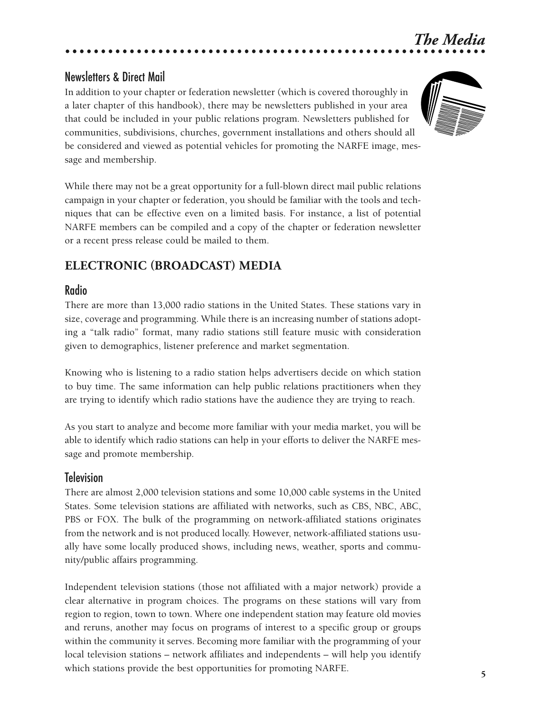### Newsletters & Direct Mail

In addition to your chapter or federation newsletter (which is covered thoroughly in a later chapter of this handbook), there may be newsletters published in your area that could be included in your public relations program. Newsletters published for communities, subdivisions, churches, government installations and others should all be considered and viewed as potential vehicles for promoting the NARFE image, message and membership.



*The Media*

While there may not be a great opportunity for a full-blown direct mail public relations campaign in your chapter or federation, you should be familiar with the tools and techniques that can be effective even on a limited basis. For instance, a list of potential NARFE members can be compiled and a copy of the chapter or federation newsletter or a recent press release could be mailed to them.

#### **ELECTRONIC (BROADCAST) MEDIA**

#### Radio

There are more than 13,000 radio stations in the United States. These stations vary in size, coverage and programming. While there is an increasing number of stations adopting a "talk radio" format, many radio stations still feature music with consideration given to demographics, listener preference and market segmentation.

Knowing who is listening to a radio station helps advertisers decide on which station to buy time. The same information can help public relations practitioners when they are trying to identify which radio stations have the audience they are trying to reach.

As you start to analyze and become more familiar with your media market, you will be able to identify which radio stations can help in your efforts to deliver the NARFE message and promote membership.

#### **Television**

There are almost 2,000 television stations and some 10,000 cable systems in the United States. Some television stations are affiliated with networks, such as CBS, NBC, ABC, PBS or FOX. The bulk of the programming on network-affiliated stations originates from the network and is not produced locally. However, network-affiliated stations usually have some locally produced shows, including news, weather, sports and community/public affairs programming.

Independent television stations (those not affiliated with a major network) provide a clear alternative in program choices. The programs on these stations will vary from region to region, town to town. Where one independent station may feature old movies and reruns, another may focus on programs of interest to a specific group or groups within the community it serves. Becoming more familiar with the programming of your local television stations – network affiliates and independents – will help you identify which stations provide the best opportunities for promoting NARFE.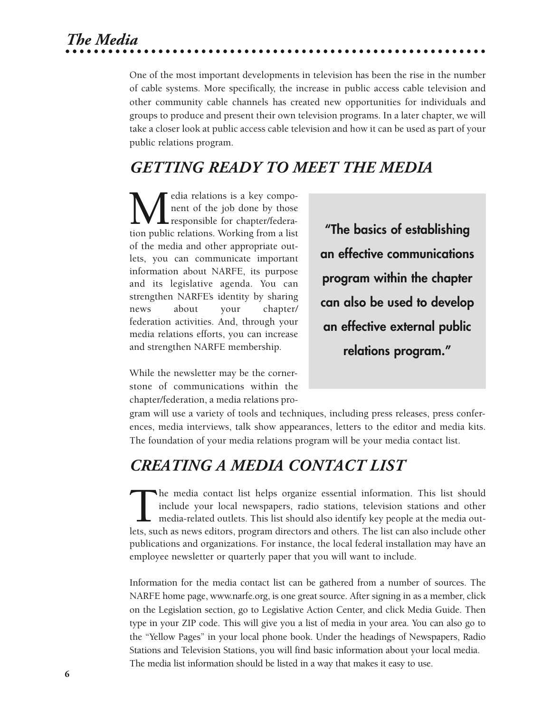*The Media*

One of the most important developments in television has been the rise in the number of cable systems. More specifically, the increase in public access cable television and other community cable channels has created new opportunities for individuals and groups to produce and present their own television programs. In a later chapter, we will take a closer look at public access cable television and how it can be used as part of your public relations program.

## *GETTING READY TO MEET THE MEDIA*

**M**edia relations is a key compo-<br>nent of the job done by those<br>responsible for chapter/federa-<br>tion public relations. Working from a list nent of the job done by those **L** responsible for chapter/federaof the media and other appropriate outlets, you can communicate important information about NARFE, its purpose and its legislative agenda. You can strengthen NARFE's identity by sharing news about your chapter/ federation activities. And, through your media relations efforts, you can increase and strengthen NARFE membership.

**"The basics of establishing an effective communications program within the chapter can also be used to develop an effective external public relations program."**

While the newsletter may be the cornerstone of communications within the chapter/federation, a media relations pro-

gram will use a variety of tools and techniques, including press releases, press conferences, media interviews, talk show appearances, letters to the editor and media kits. The foundation of your media relations program will be your media contact list.

# *CREATING A MEDIA CONTACT LIST*

The media contact list helps organize essential information. This list should include your local newspapers, radio stations, television stations and other media-related outlets. This list should also identify key people at include your local newspapers, radio stations, television stations and other media-related outlets. This list should also identify key people at the media outlets, such as news editors, program directors and others. The list can also include other publications and organizations. For instance, the local federal installation may have an employee newsletter or quarterly paper that you will want to include.

Information for the media contact list can be gathered from a number of sources. The NARFE home page, www.narfe.org, is one great source. After signing in as a member, click on the Legislation section, go to Legislative Action Center, and click Media Guide. Then type in your ZIP code. This will give you a list of media in your area. You can also go to the "Yellow Pages" in your local phone book. Under the headings of Newspapers, Radio Stations and Television Stations, you will find basic information about your local media. The media list information should be listed in a way that makes it easy to use.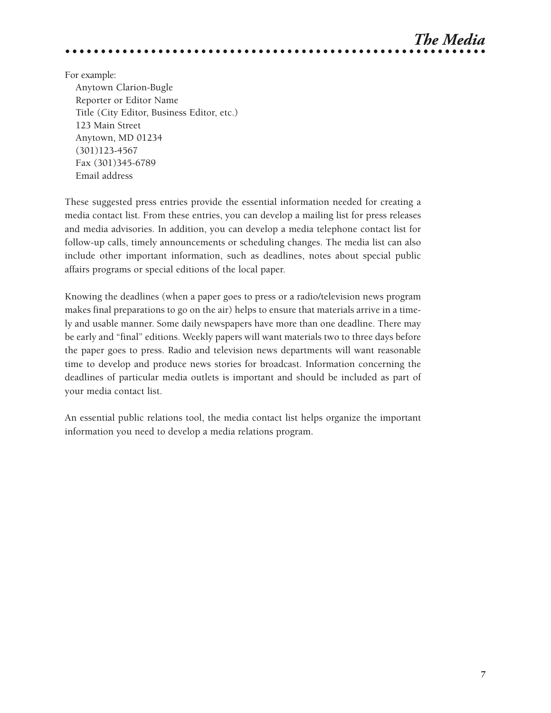

For example:

Anytown Clarion-Bugle Reporter or Editor Name Title (City Editor, Business Editor, etc.) 123 Main Street Anytown, MD 01234 (301)123-4567 Fax (301)345-6789 Email address

These suggested press entries provide the essential information needed for creating a media contact list. From these entries, you can develop a mailing list for press releases and media advisories. In addition, you can develop a media telephone contact list for follow-up calls, timely announcements or scheduling changes. The media list can also include other important information, such as deadlines, notes about special public affairs programs or special editions of the local paper.

Knowing the deadlines (when a paper goes to press or a radio/television news program makes final preparations to go on the air) helps to ensure that materials arrive in a timely and usable manner. Some daily newspapers have more than one deadline. There may be early and "final" editions. Weekly papers will want materials two to three days before the paper goes to press. Radio and television news departments will want reasonable time to develop and produce news stories for broadcast. Information concerning the deadlines of particular media outlets is important and should be included as part of your media contact list.

An essential public relations tool, the media contact list helps organize the important information you need to develop a media relations program.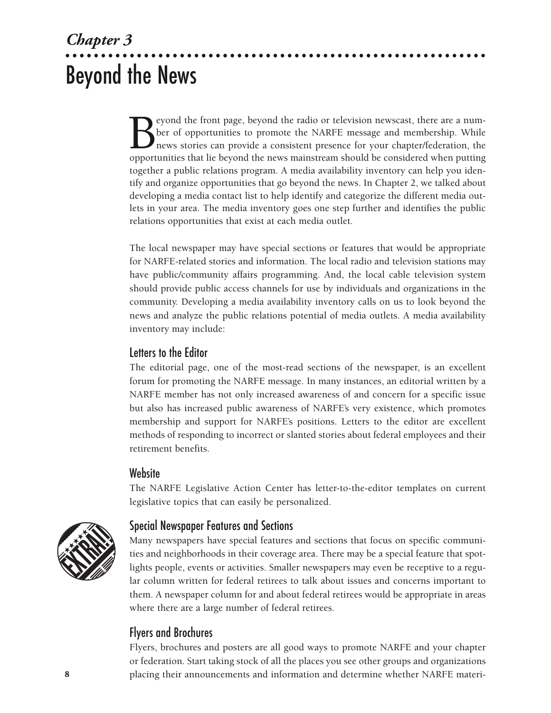# *Chapter 3* Beyond the News

Evond the front page, beyond the radio or television newscast, there are a number of opportunities to promote the NARFE message and membership. While news stories can provide a consistent presence for your chapter/federati ber of opportunities to promote the NARFE message and membership. While news stories can provide a consistent presence for your chapter/federation, the opportunities that lie beyond the news mainstream should be considered when putting together a public relations program. A media availability inventory can help you identify and organize opportunities that go beyond the news. In Chapter 2, we talked about developing a media contact list to help identify and categorize the different media outlets in your area. The media inventory goes one step further and identifies the public relations opportunities that exist at each media outlet.

The local newspaper may have special sections or features that would be appropriate for NARFE-related stories and information. The local radio and television stations may have public/community affairs programming. And, the local cable television system should provide public access channels for use by individuals and organizations in the community. Developing a media availability inventory calls on us to look beyond the news and analyze the public relations potential of media outlets. A media availability inventory may include:

### Letters to the Editor

The editorial page, one of the most-read sections of the newspaper, is an excellent forum for promoting the NARFE message. In many instances, an editorial written by a NARFE member has not only increased awareness of and concern for a specific issue but also has increased public awareness of NARFE's very existence, which promotes membership and support for NARFE's positions. Letters to the editor are excellent methods of responding to incorrect or slanted stories about federal employees and their retirement benefits.

#### **Website**

The NARFE Legislative Action Center has letter-to-the-editor templates on current legislative topics that can easily be personalized.



#### Special Newspaper Features and Sections

Many newspapers have special features and sections that focus on specific communities and neighborhoods in their coverage area. There may be a special feature that spotlights people, events or activities. Smaller newspapers may even be receptive to a regular column written for federal retirees to talk about issues and concerns important to them. A newspaper column for and about federal retirees would be appropriate in areas where there are a large number of federal retirees.

### Flyers and Brochures

Flyers, brochures and posters are all good ways to promote NARFE and your chapter or federation. Start taking stock of all the places you see other groups and organizations placing their announcements and information and determine whether NARFE materi-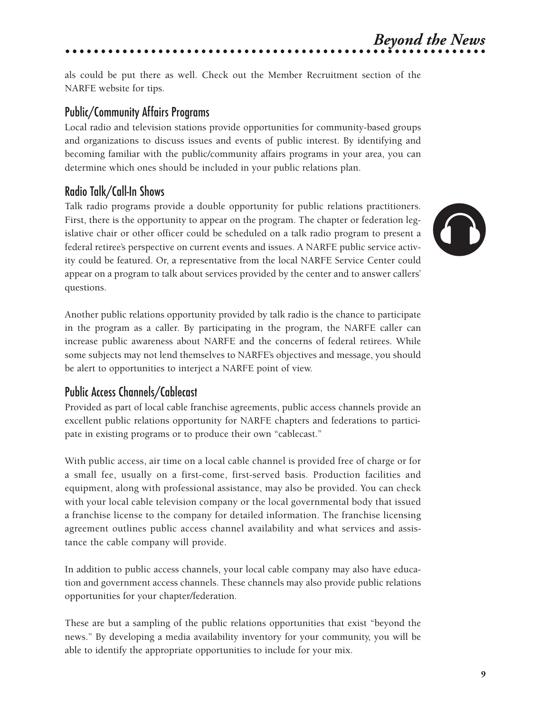# *Beyond the News*

als could be put there as well. Check out the Member Recruitment section of the NARFE website for tips.

### Public/Community Affairs Programs

Local radio and television stations provide opportunities for community-based groups and organizations to discuss issues and events of public interest. By identifying and becoming familiar with the public/community affairs programs in your area, you can determine which ones should be included in your public relations plan.

### Radio Talk/Call-In Shows

Talk radio programs provide a double opportunity for public relations practitioners. First, there is the opportunity to appear on the program. The chapter or federation legislative chair or other officer could be scheduled on a talk radio program to present a federal retiree's perspective on current events and issues. A NARFE public service activity could be featured. Or, a representative from the local NARFE Service Center could appear on a program to talk about services provided by the center and to answer callers' questions.



Another public relations opportunity provided by talk radio is the chance to participate in the program as a caller. By participating in the program, the NARFE caller can increase public awareness about NARFE and the concerns of federal retirees. While some subjects may not lend themselves to NARFE's objectives and message, you should be alert to opportunities to interject a NARFE point of view.

## Public Access Channels/Cablecast

Provided as part of local cable franchise agreements, public access channels provide an excellent public relations opportunity for NARFE chapters and federations to participate in existing programs or to produce their own "cablecast."

With public access, air time on a local cable channel is provided free of charge or for a small fee, usually on a first-come, first-served basis. Production facilities and equipment, along with professional assistance, may also be provided. You can check with your local cable television company or the local governmental body that issued a franchise license to the company for detailed information. The franchise licensing agreement outlines public access channel availability and what services and assistance the cable company will provide.

In addition to public access channels, your local cable company may also have education and government access channels. These channels may also provide public relations opportunities for your chapter/federation.

These are but a sampling of the public relations opportunities that exist "beyond the news." By developing a media availability inventory for your community, you will be able to identify the appropriate opportunities to include for your mix.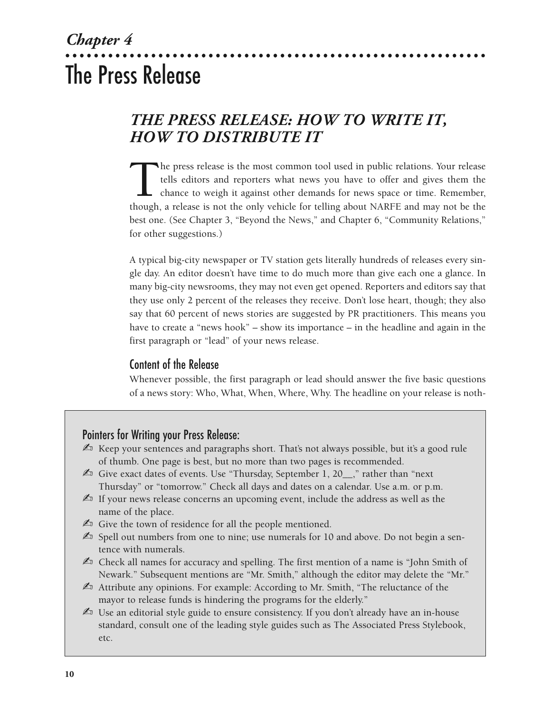# *Chapter 4* The Press Release

# *THE PRESS RELEASE: HOW TO WRITE IT, HOW TO DISTRIBUTE IT*

The press release is the most common tool used in public relations. Your release tells editors and reporters what news you have to offer and gives them the chance to weigh it against other demands for news space or time. R tells editors and reporters what news you have to offer and gives them the chance to weigh it against other demands for news space or time. Remember, though, a release is not the only vehicle for telling about NARFE and may not be the best one. (See Chapter 3, "Beyond the News," and Chapter 6, "Community Relations," for other suggestions.)

A typical big-city newspaper or TV station gets literally hundreds of releases every single day. An editor doesn't have time to do much more than give each one a glance. In many big-city newsrooms, they may not even get opened. Reporters and editors say that they use only 2 percent of the releases they receive. Don't lose heart, though; they also say that 60 percent of news stories are suggested by PR practitioners. This means you have to create a "news hook" – show its importance – in the headline and again in the first paragraph or "lead" of your news release.

#### Content of the Release

Whenever possible, the first paragraph or lead should answer the five basic questions of a news story: Who, What, When, Where, Why. The headline on your release is noth-

#### Pointers for Writing your Press Release:

- $\mathbb{Z}_1$  Keep your sentences and paragraphs short. That's not always possible, but it's a good rule of thumb. One page is best, but no more than two pages is recommended.
- $\mathbb{Z}$  Give exact dates of events. Use "Thursday, September 1, 20<sub>\_\_</sub>," rather than "next" Thursday" or "tomorrow." Check all days and dates on a calendar. Use a.m. or p.m.
- $\mathbb{A}$  If your news release concerns an upcoming event, include the address as well as the name of the place.
- $\mathbb{Z}$  Give the town of residence for all the people mentioned.
- $\mathbb{Z}_3$  Spell out numbers from one to nine; use numerals for 10 and above. Do not begin a sentence with numerals.
- $\mathbb{Z}$  Check all names for accuracy and spelling. The first mention of a name is "John Smith of Newark." Subsequent mentions are "Mr. Smith," although the editor may delete the "Mr."
- $\mathbb{Z}$  Attribute any opinions. For example: According to Mr. Smith, "The reluctance of the mayor to release funds is hindering the programs for the elderly."
- $\mathbb{Z}$  Use an editorial style guide to ensure consistency. If you don't already have an in-house standard, consult one of the leading style guides such as The Associated Press Stylebook, etc.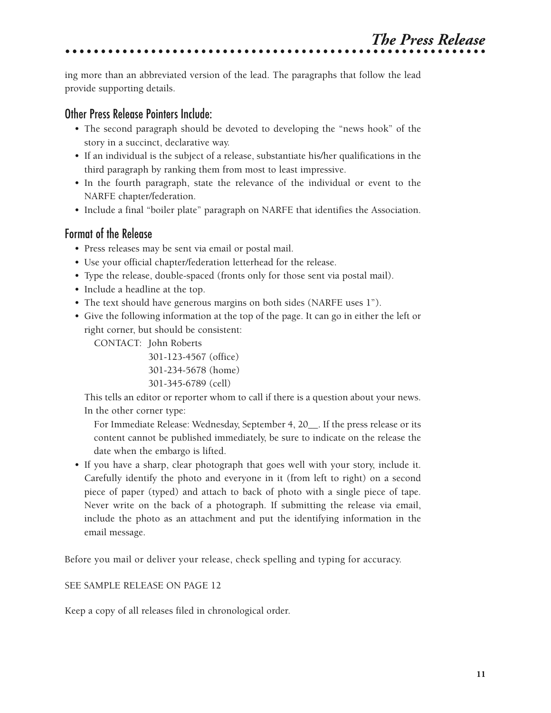ing more than an abbreviated version of the lead. The paragraphs that follow the lead provide supporting details.

### Other Press Release Pointers Include:

- The second paragraph should be devoted to developing the "news hook" of the story in a succinct, declarative way.
- If an individual is the subject of a release, substantiate his/her qualifications in the third paragraph by ranking them from most to least impressive.
- In the fourth paragraph, state the relevance of the individual or event to the NARFE chapter/federation.
- Include a final "boiler plate" paragraph on NARFE that identifies the Association.

### Format of the Release

- Press releases may be sent via email or postal mail.
- Use your official chapter/federation letterhead for the release.
- Type the release, double-spaced (fronts only for those sent via postal mail).
- Include a headline at the top.
- The text should have generous margins on both sides (NARFE uses 1").
- Give the following information at the top of the page. It can go in either the left or right corner, but should be consistent:

CONTACT: John Roberts

301-123-4567 (office) 301-234-5678 (home) 301-345-6789 (cell)

This tells an editor or reporter whom to call if there is a question about your news. In the other corner type:

For Immediate Release: Wednesday, September 4, 20\_\_. If the press release or its content cannot be published immediately, be sure to indicate on the release the date when the embargo is lifted.

• If you have a sharp, clear photograph that goes well with your story, include it. Carefully identify the photo and everyone in it (from left to right) on a second piece of paper (typed) and attach to back of photo with a single piece of tape. Never write on the back of a photograph. If submitting the release via email, include the photo as an attachment and put the identifying information in the email message.

Before you mail or deliver your release, check spelling and typing for accuracy.

#### SEE SAMPLE RELEASE ON PAGE 12

Keep a copy of all releases filed in chronological order.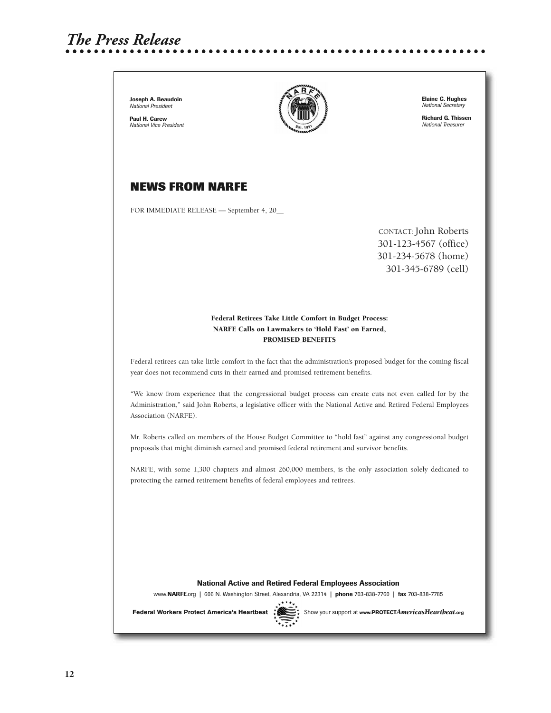# *The Press Release*

**Joseph A. Beaudoin** *National President*

**Paul H. Carew** *National Vice President*



**Elaine C. Hughes** *National Secretary*

**Richard G. Thissen** *National Treasurer*

#### **NEWS FROM NARFE**

FOR IMMEDIATE RELEASE — September 4, 20\_\_

CONTACT: John Roberts 301-123-4567 (office) 301-234-5678 (home) 301-345-6789 (cell)

#### **Federal Retirees Take Little Comfort in Budget Process: NARFE Calls on Lawmakers to 'Hold Fast' on Earned, PROMISED BENEFITS**

Federal retirees can take little comfort in the fact that the administration's proposed budget for the coming fiscal year does not recommend cuts in their earned and promised retirement benefits.

"We know from experience that the congressional budget process can create cuts not even called for by the Administration," said John Roberts, a legislative officer with the National Active and Retired Federal Employees Association (NARFE).

Mr. Roberts called on members of the House Budget Committee to "hold fast" against any congressional budget proposals that might diminish earned and promised federal retirement and survivor benefits.

NARFE, with some 1,300 chapters and almost 260,000 members, is the only association solely dedicated to protecting the earned retirement benefits of federal employees and retirees.

**National Active and Retired Federal Employees Association**

www.**NARFE**.org **|** 606 N. Washington Street, Alexandria, VA 22314 **| phone** 703-838-7760 **| fax** 703-838-7785



Federal Workers Protect America's Heartbeat  $\mathbb{R}$  Show your support at www.PROTECTAmericasHeartbeat.org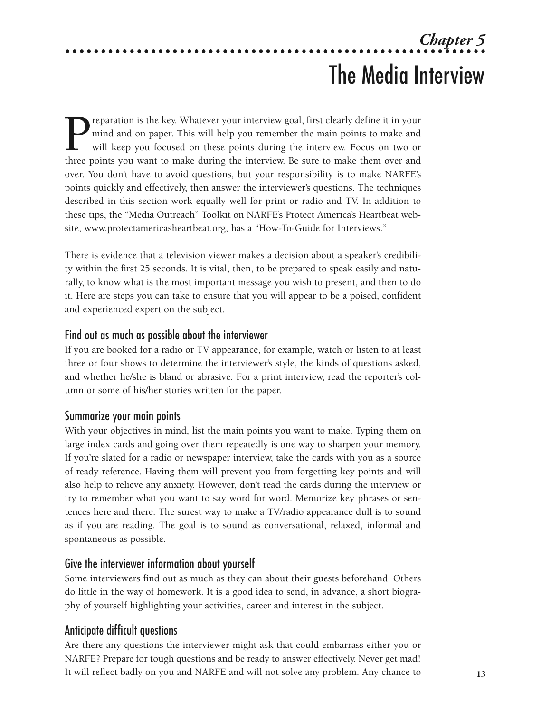# *Chapter 5* The Media Interview

**P**reparation is the key. Whatever your interview goal, first clearly define it in your mind and on paper. This will help you remember the main points to make and will keep you focused on these points during the interview. mind and on paper. This will help you remember the main points to make and will keep you focused on these points during the interview. Focus on two or three points you want to make during the interview. Be sure to make them over and over. You don't have to avoid questions, but your responsibility is to make NARFE's points quickly and effectively, then answer the interviewer's questions. The techniques described in this section work equally well for print or radio and TV. In addition to these tips, the "Media Outreach" Toolkit on NARFE's Protect America's Heartbeat website, www.protectamericasheartbeat.org, has a "How-To-Guide for Interviews."

There is evidence that a television viewer makes a decision about a speaker's credibility within the first 25 seconds. It is vital, then, to be prepared to speak easily and naturally, to know what is the most important message you wish to present, and then to do it. Here are steps you can take to ensure that you will appear to be a poised, confident and experienced expert on the subject.

#### Find out as much as possible about the interviewer

If you are booked for a radio or TV appearance, for example, watch or listen to at least three or four shows to determine the interviewer's style, the kinds of questions asked, and whether he/she is bland or abrasive. For a print interview, read the reporter's column or some of his/her stories written for the paper.

#### Summarize your main points

With your objectives in mind, list the main points you want to make. Typing them on large index cards and going over them repeatedly is one way to sharpen your memory. If you're slated for a radio or newspaper interview, take the cards with you as a source of ready reference. Having them will prevent you from forgetting key points and will also help to relieve any anxiety. However, don't read the cards during the interview or try to remember what you want to say word for word. Memorize key phrases or sentences here and there. The surest way to make a TV/radio appearance dull is to sound as if you are reading. The goal is to sound as conversational, relaxed, informal and spontaneous as possible.

#### Give the interviewer information about yourself

Some interviewers find out as much as they can about their guests beforehand. Others do little in the way of homework. It is a good idea to send, in advance, a short biography of yourself highlighting your activities, career and interest in the subject.

#### Anticipate difficult questions

Are there any questions the interviewer might ask that could embarrass either you or NARFE? Prepare for tough questions and be ready to answer effectively. Never get mad! It will reflect badly on you and NARFE and will not solve any problem. Any chance to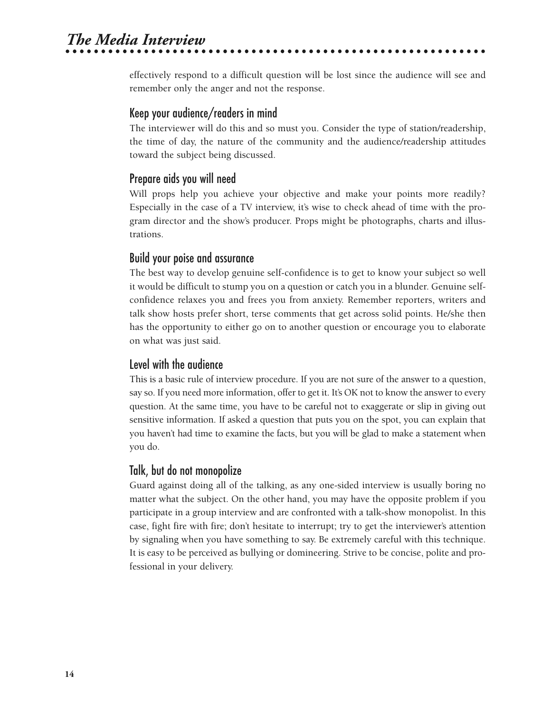# *The Media Interview*

effectively respond to a difficult question will be lost since the audience will see and remember only the anger and not the response.

#### Keep your audience/readers in mind

The interviewer will do this and so must you. Consider the type of station/readership, the time of day, the nature of the community and the audience/readership attitudes toward the subject being discussed.

#### Prepare aids you will need

Will props help you achieve your objective and make your points more readily? Especially in the case of a TV interview, it's wise to check ahead of time with the program director and the show's producer. Props might be photographs, charts and illustrations.

#### Build your poise and assurance

The best way to develop genuine self-confidence is to get to know your subject so well it would be difficult to stump you on a question or catch you in a blunder. Genuine selfconfidence relaxes you and frees you from anxiety. Remember reporters, writers and talk show hosts prefer short, terse comments that get across solid points. He/she then has the opportunity to either go on to another question or encourage you to elaborate on what was just said.

#### Level with the audience

This is a basic rule of interview procedure. If you are not sure of the answer to a question, say so. If you need more information, offer to get it. It's OK not to know the answer to every question. At the same time, you have to be careful not to exaggerate or slip in giving out sensitive information. If asked a question that puts you on the spot, you can explain that you haven't had time to examine the facts, but you will be glad to make a statement when you do.

#### Talk, but do not monopolize

Guard against doing all of the talking, as any one-sided interview is usually boring no matter what the subject. On the other hand, you may have the opposite problem if you participate in a group interview and are confronted with a talk-show monopolist. In this case, fight fire with fire; don't hesitate to interrupt; try to get the interviewer's attention by signaling when you have something to say. Be extremely careful with this technique. It is easy to be perceived as bullying or domineering. Strive to be concise, polite and professional in your delivery.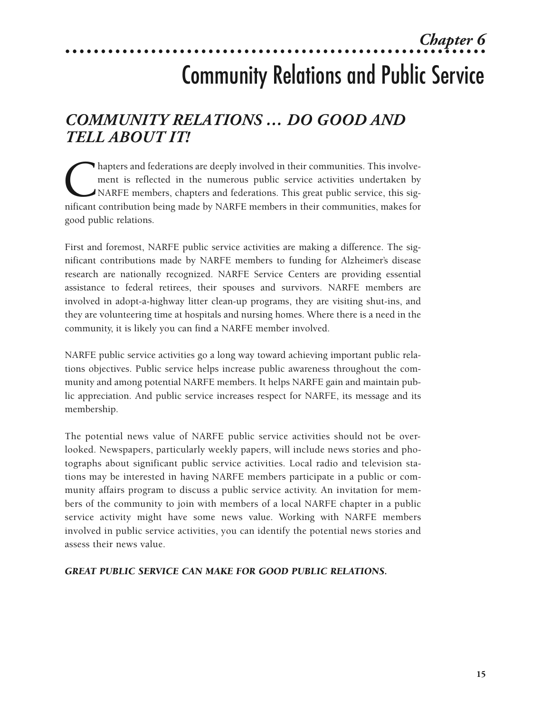## *Chapter 6*

# Community Relations and Public Service

## *COMMUNITY RELATIONS … DO GOOD AND TELL ABOUT IT!*

hapters and federations are deeply involved in their communities. This involvement is reflected in the numerous public service activities undertaken by NARFE members, chapters and federations. This great public service, th ment is reflected in the numerous public service activities undertaken by NARFE members, chapters and federations. This great public service, this significant contribution being made by NARFE members in their communities, makes for good public relations.

First and foremost, NARFE public service activities are making a difference. The significant contributions made by NARFE members to funding for Alzheimer's disease research are nationally recognized. NARFE Service Centers are providing essential assistance to federal retirees, their spouses and survivors. NARFE members are involved in adopt-a-highway litter clean-up programs, they are visiting shut-ins, and they are volunteering time at hospitals and nursing homes. Where there is a need in the community, it is likely you can find a NARFE member involved.

NARFE public service activities go a long way toward achieving important public relations objectives. Public service helps increase public awareness throughout the community and among potential NARFE members. It helps NARFE gain and maintain public appreciation. And public service increases respect for NARFE, its message and its membership.

The potential news value of NARFE public service activities should not be overlooked. Newspapers, particularly weekly papers, will include news stories and photographs about significant public service activities. Local radio and television stations may be interested in having NARFE members participate in a public or community affairs program to discuss a public service activity. An invitation for members of the community to join with members of a local NARFE chapter in a public service activity might have some news value. Working with NARFE members involved in public service activities, you can identify the potential news stories and assess their news value.

#### *GREAT PUBLIC SERVICE CAN MAKE FOR GOOD PUBLIC RELATIONS.*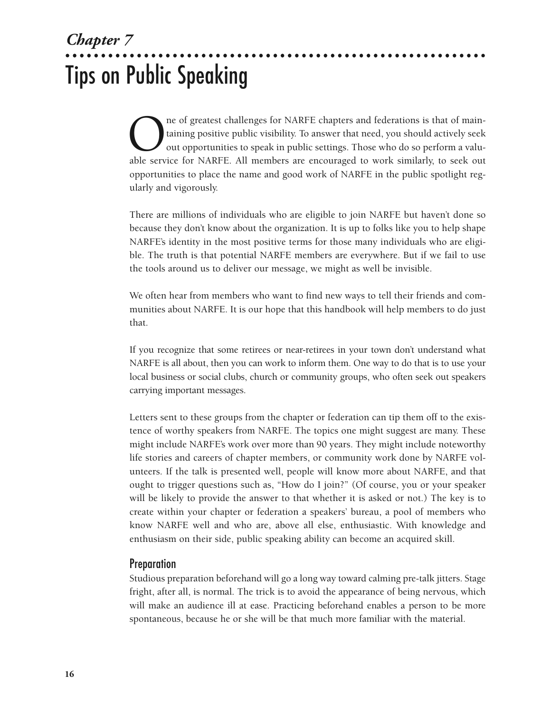# *Chapter 7* Tips on Public Speaking

The of greatest challenges for NARFE chapters and federations is that of main-<br>taining positive public visibility. To answer that need, you should actively seek<br>out opportunities to speak in public settings. Those who do s taining positive public visibility. To answer that need, you should actively seek out opportunities to speak in public settings. Those who do so perform a valuable service for NARFE. All members are encouraged to work similarly, to seek out opportunities to place the name and good work of NARFE in the public spotlight regularly and vigorously.

There are millions of individuals who are eligible to join NARFE but haven't done so because they don't know about the organization. It is up to folks like you to help shape NARFE's identity in the most positive terms for those many individuals who are eligible. The truth is that potential NARFE members are everywhere. But if we fail to use the tools around us to deliver our message, we might as well be invisible.

We often hear from members who want to find new ways to tell their friends and communities about NARFE. It is our hope that this handbook will help members to do just that.

If you recognize that some retirees or near-retirees in your town don't understand what NARFE is all about, then you can work to inform them. One way to do that is to use your local business or social clubs, church or community groups, who often seek out speakers carrying important messages.

Letters sent to these groups from the chapter or federation can tip them off to the existence of worthy speakers from NARFE. The topics one might suggest are many. These might include NARFE's work over more than 90 years. They might include noteworthy life stories and careers of chapter members, or community work done by NARFE volunteers. If the talk is presented well, people will know more about NARFE, and that ought to trigger questions such as, "How do I join?" (Of course, you or your speaker will be likely to provide the answer to that whether it is asked or not.) The key is to create within your chapter or federation a speakers' bureau, a pool of members who know NARFE well and who are, above all else, enthusiastic. With knowledge and enthusiasm on their side, public speaking ability can become an acquired skill.

#### **Preparation**

Studious preparation beforehand will go a long way toward calming pre-talk jitters. Stage fright, after all, is normal. The trick is to avoid the appearance of being nervous, which will make an audience ill at ease. Practicing beforehand enables a person to be more spontaneous, because he or she will be that much more familiar with the material.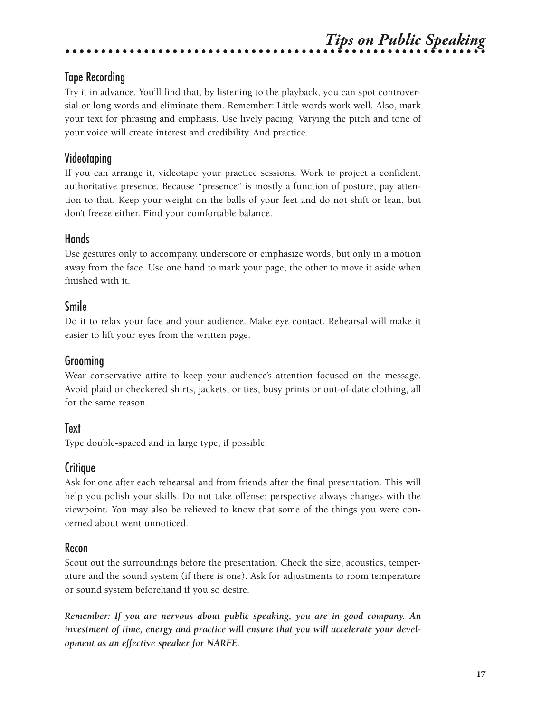# *Tips on Public Speaking*

### Tape Recording

Try it in advance. You'll find that, by listening to the playback, you can spot controversial or long words and eliminate them. Remember: Little words work well. Also, mark your text for phrasing and emphasis. Use lively pacing. Varying the pitch and tone of your voice will create interest and credibility. And practice.

### Videotaping

If you can arrange it, videotape your practice sessions. Work to project a confident, authoritative presence. Because "presence" is mostly a function of posture, pay attention to that. Keep your weight on the balls of your feet and do not shift or lean, but don't freeze either. Find your comfortable balance.

#### Hands

Use gestures only to accompany, underscore or emphasize words, but only in a motion away from the face. Use one hand to mark your page, the other to move it aside when finished with it.

#### Smile

Do it to relax your face and your audience. Make eye contact. Rehearsal will make it easier to lift your eyes from the written page.

### Grooming

Wear conservative attire to keep your audience's attention focused on the message. Avoid plaid or checkered shirts, jackets, or ties, busy prints or out-of-date clothing, all for the same reason.

#### Text

Type double-spaced and in large type, if possible.

#### **Critique**

Ask for one after each rehearsal and from friends after the final presentation. This will help you polish your skills. Do not take offense; perspective always changes with the viewpoint. You may also be relieved to know that some of the things you were concerned about went unnoticed.

#### Recon

Scout out the surroundings before the presentation. Check the size, acoustics, temperature and the sound system (if there is one). Ask for adjustments to room temperature or sound system beforehand if you so desire.

*Remember: If you are nervous about public speaking, you are in good company. An investment of time, energy and practice will ensure that you will accelerate your development as an effective speaker for NARFE.*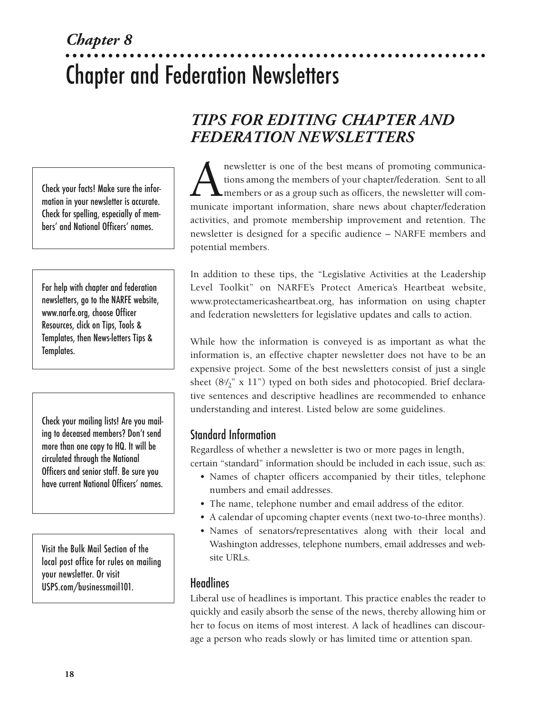# *Chapter 8* Chapter and Federation Newsletters

Check your facts! Make sure the information in your newsletter is accurate. Check for spelling, especially of members' and National Officers' names.

For help with chapter and federation newsletters, go to the NARFE website, www.narfe.org, choose Officer Resources, click on Tips, Tools & Templates, then News-letters Tips & Templates.

Check your mailing lists! Are you mailing to deceased members? Don't send more than one copy to HQ. It will be circulated through the National Officers and senior staff. Be sure you have current National Officers' names.

Visit the Bulk Mail Section of the local post office for rules on mailing your newsletter. Or visit USPS.com/businessmail101.

## *TIPS FOR EDITING CHAPTER AND FEDERATION NEWSLETTERS*

newsletter is one of the best means of promoting communications among the members of your chapter/federation. Sent to all members or as a group such as officers, the newsletter will communicate important information. share tions among the members of your chapter/federation. Sent to all members or as a group such as officers, the newsletter will communicate important information, share news about chapter/federation activities, and promote membership improvement and retention. The newsletter is designed for a specific audience – NARFE members and potential members.

In addition to these tips, the "Legislative Activities at the Leadership Level Toolkit" on NARFE's Protect America's Heartbeat website, www.protectamericasheartbeat.org, has information on using chapter and federation newsletters for legislative updates and calls to action.

While how the information is conveyed is as important as what the information is, an effective chapter newsletter does not have to be an expensive project. Some of the best newsletters consist of just a single sheet (81 / 2" x 11") typed on both sides and photocopied. Brief declarative sentences and descriptive headlines are recommended to enhance understanding and interest. Listed below are some guidelines.

## Standard Information

Regardless of whether a newsletter is two or more pages in length, certain "standard" information should be included in each issue, such as:

- Names of chapter officers accompanied by their titles, telephone numbers and email addresses.
- The name, telephone number and email address of the editor.
- A calendar of upcoming chapter events (next two-to-three months).
- Names of senators/representatives along with their local and Washington addresses, telephone numbers, email addresses and website URLs.

#### **Headlines**

Liberal use of headlines is important. This practice enables the reader to quickly and easily absorb the sense of the news, thereby allowing him or her to focus on items of most interest. A lack of headlines can discourage a person who reads slowly or has limited time or attention span.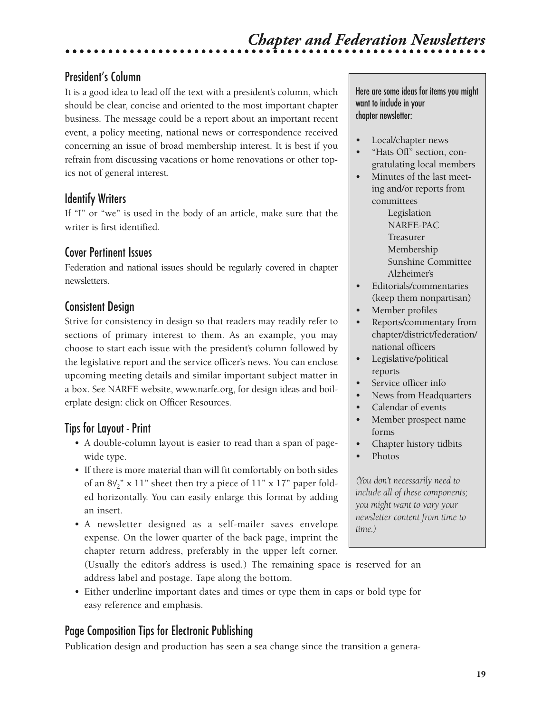## President's Column

It is a good idea to lead off the text with a president's column, which should be clear, concise and oriented to the most important chapter business. The message could be a report about an important recent event, a policy meeting, national news or correspondence received concerning an issue of broad membership interest. It is best if you refrain from discussing vacations or home renovations or other topics not of general interest.

### Identify Writers

If "I" or "we" is used in the body of an article, make sure that the writer is first identified.

### Cover Pertinent Issues

Federation and national issues should be regularly covered in chapter newsletters.

### Consistent Design

Strive for consistency in design so that readers may readily refer to sections of primary interest to them. As an example, you may choose to start each issue with the president's column followed by the legislative report and the service officer's news. You can enclose upcoming meeting details and similar important subject matter in a box. See NARFE website, www.narfe.org, for design ideas and boilerplate design: click on Officer Resources.

## Tips for Layout - Print

- A double-column layout is easier to read than a span of pagewide type.
- If there is more material than will fit comfortably on both sides of an 8½" x 11" sheet then try a piece of 11" x 17" paper folded horizontally. You can easily enlarge this format by adding an insert.
- A newsletter designed as a self-mailer saves envelope expense. On the lower quarter of the back page, imprint the chapter return address, preferably in the upper left corner.

(Usually the editor's address is used.) The remaining space is reserved for an address label and postage. Tape along the bottom.

• Either underline important dates and times or type them in caps or bold type for easy reference and emphasis.

## Page Composition Tips for Electronic Publishing

Publication design and production has seen a sea change since the transition a genera-

Here are some ideas for items you might want to include in your chapter newsletter:

- Local/chapter news
- "Hats Off" section, congratulating local members
- Minutes of the last meeting and/or reports from committees

Legislation NARFE-PAC Treasurer Membership Sunshine Committee Alzheimer's

- Editorials/commentaries (keep them nonpartisan)
- Member profiles
- Reports/commentary from chapter/district/federation/ national officers
- Legislative/political reports
- Service officer info
- News from Headquarters
- Calendar of events
- Member prospect name forms
- Chapter history tidbits
- Photos

*(You don't necessarily need to include all of these components; you might want to vary your newsletter content from time to time.)*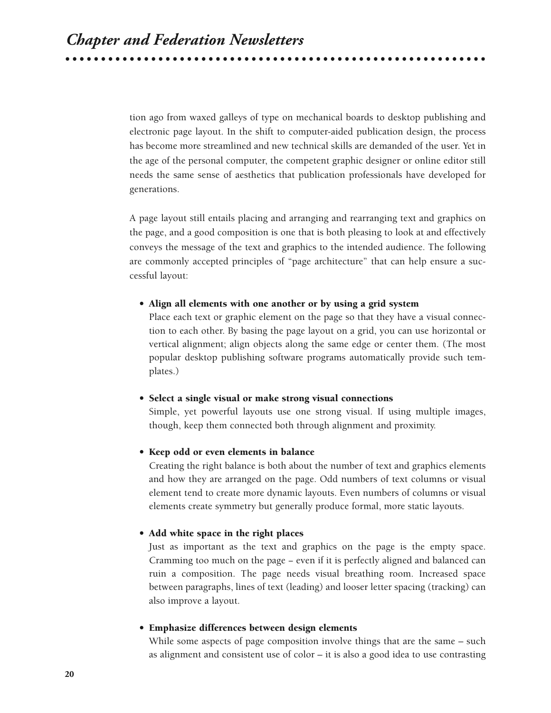tion ago from waxed galleys of type on mechanical boards to desktop publishing and electronic page layout. In the shift to computer-aided publication design, the process has become more streamlined and new technical skills are demanded of the user. Yet in the age of the personal computer, the competent graphic designer or online editor still needs the same sense of aesthetics that publication professionals have developed for generations.

A page layout still entails placing and arranging and rearranging text and graphics on the page, and a good composition is one that is both pleasing to look at and effectively conveys the message of the text and graphics to the intended audience. The following are commonly accepted principles of "page architecture" that can help ensure a successful layout:

#### **• Align all elements with one another or by using a grid system**

Place each text or graphic element on the page so that they have a visual connection to each other. By basing the page layout on a grid, you can use horizontal or vertical alignment; align objects along the same edge or center them. (The most popular desktop publishing software programs automatically provide such templates.)

#### **• Select a single visual or make strong visual connections**

Simple, yet powerful layouts use one strong visual. If using multiple images, though, keep them connected both through alignment and proximity.

#### **• Keep odd or even elements in balance**

Creating the right balance is both about the number of text and graphics elements and how they are arranged on the page. Odd numbers of text columns or visual element tend to create more dynamic layouts. Even numbers of columns or visual elements create symmetry but generally produce formal, more static layouts.

#### **• Add white space in the right places**

Just as important as the text and graphics on the page is the empty space. Cramming too much on the page − even if it is perfectly aligned and balanced can ruin a composition. The page needs visual breathing room. Increased space between paragraphs, lines of text (leading) and looser letter spacing (tracking) can also improve a layout.

#### **• Emphasize differences between design elements**

While some aspects of page composition involve things that are the same – such as alignment and consistent use of color – it is also a good idea to use contrasting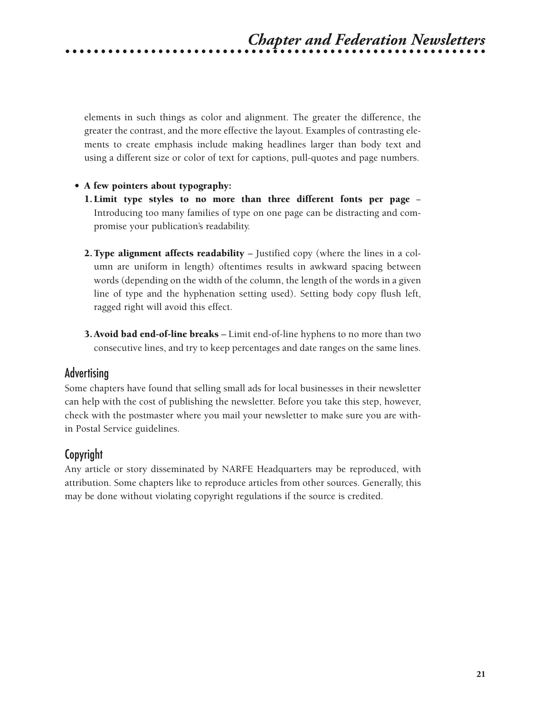elements in such things as color and alignment. The greater the difference, the greater the contrast, and the more effective the layout. Examples of contrasting elements to create emphasis include making headlines larger than body text and using a different size or color of text for captions, pull-quotes and page numbers.

#### **• A few pointers about typography:**

- **1. Limit type styles to no more than three different fonts per page** − Introducing too many families of type on one page can be distracting and compromise your publication's readability.
- **2.Type alignment affects readability** Justified copy (where the lines in a column are uniform in length) oftentimes results in awkward spacing between words (depending on the width of the column, the length of the words in a given line of type and the hyphenation setting used). Setting body copy flush left, ragged right will avoid this effect.
- **3.Avoid bad end-of-line breaks** Limit end-of-line hyphens to no more than two consecutive lines, and try to keep percentages and date ranges on the same lines.

#### Advertising

Some chapters have found that selling small ads for local businesses in their newsletter can help with the cost of publishing the newsletter. Before you take this step, however, check with the postmaster where you mail your newsletter to make sure you are within Postal Service guidelines.

#### Copyright

Any article or story disseminated by NARFE Headquarters may be reproduced, with attribution. Some chapters like to reproduce articles from other sources. Generally, this may be done without violating copyright regulations if the source is credited.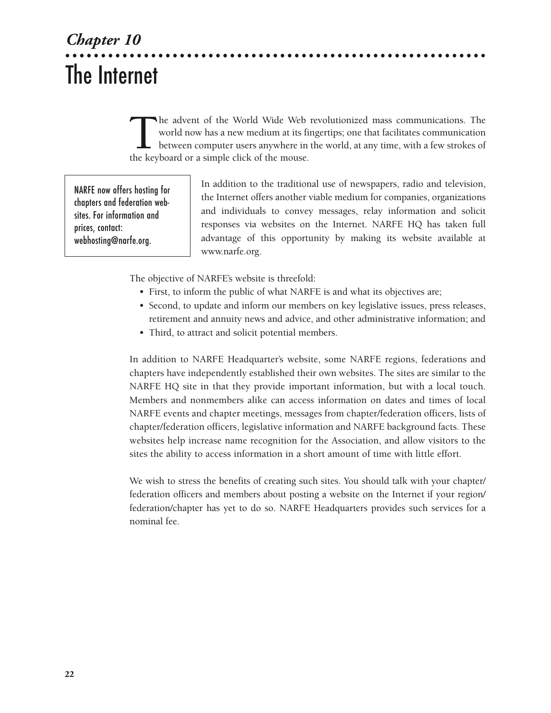# *Chapter 10* The Internet

The advent of the World Wide Web revolutionized mass communications. The world now has a new medium at its fingertips; one that facilitates communication between computer users anywhere in the world, at any time, with a fe world now has a new medium at its fingertips; one that facilitates communication between computer users anywhere in the world, at any time, with a few strokes of the keyboard or a simple click of the mouse.

NARFE now offers hosting for chapters and federation websites. For information and prices, contact: webhosting@narfe.org.

In addition to the traditional use of newspapers, radio and television, the Internet offers another viable medium for companies, organizations and individuals to convey messages, relay information and solicit responses via websites on the Internet. NARFE HQ has taken full advantage of this opportunity by making its website available at www.narfe.org.

The objective of NARFE's website is threefold:

- First, to inform the public of what NARFE is and what its objectives are;
- Second, to update and inform our members on key legislative issues, press releases, retirement and annuity news and advice, and other administrative information; and
- Third, to attract and solicit potential members.

In addition to NARFE Headquarter's website, some NARFE regions, federations and chapters have independently established their own websites. The sites are similar to the NARFE HQ site in that they provide important information, but with a local touch. Members and nonmembers alike can access information on dates and times of local NARFE events and chapter meetings, messages from chapter/federation officers, lists of chapter/federation officers, legislative information and NARFE background facts. These websites help increase name recognition for the Association, and allow visitors to the sites the ability to access information in a short amount of time with little effort.

We wish to stress the benefits of creating such sites. You should talk with your chapter/ federation officers and members about posting a website on the Internet if your region/ federation/chapter has yet to do so. NARFE Headquarters provides such services for a nominal fee.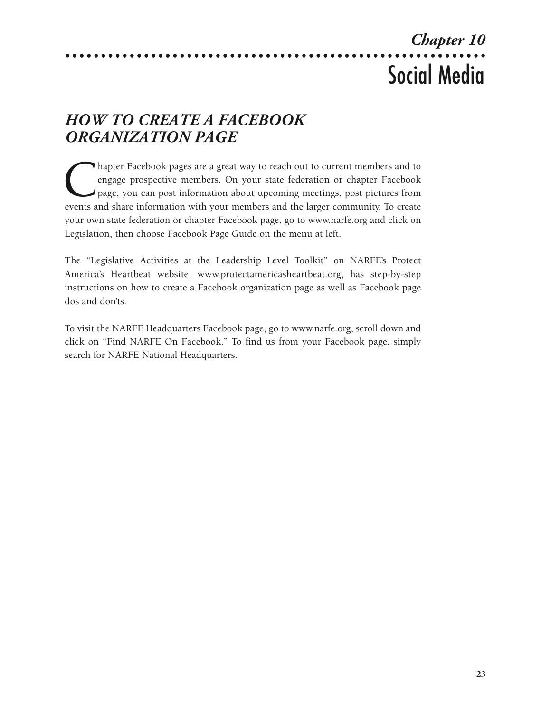# *Chapter 10* Social Media

# *HOW TO CREATE A FACEBOOK ORGANIZATION PAGE*

hapter Facebook pages are a great way to reach out to current members and to engage prospective members. On your state federation or chapter Facebook page, you can post information about upcoming meetings, post pictures fr engage prospective members. On your state federation or chapter Facebook page, you can post information about upcoming meetings, post pictures from events and share information with your members and the larger community. To create your own state federation or chapter Facebook page, go to www.narfe.org and click on Legislation, then choose Facebook Page Guide on the menu at left.

The "Legislative Activities at the Leadership Level Toolkit" on NARFE's Protect America's Heartbeat website, www.protectamericasheartbeat.org, has step-by-step instructions on how to create a Facebook organization page as well as Facebook page dos and don'ts.

To visit the NARFE Headquarters Facebook page, go to www.narfe.org, scroll down and click on "Find NARFE On Facebook." To find us from your Facebook page, simply search for NARFE National Headquarters.